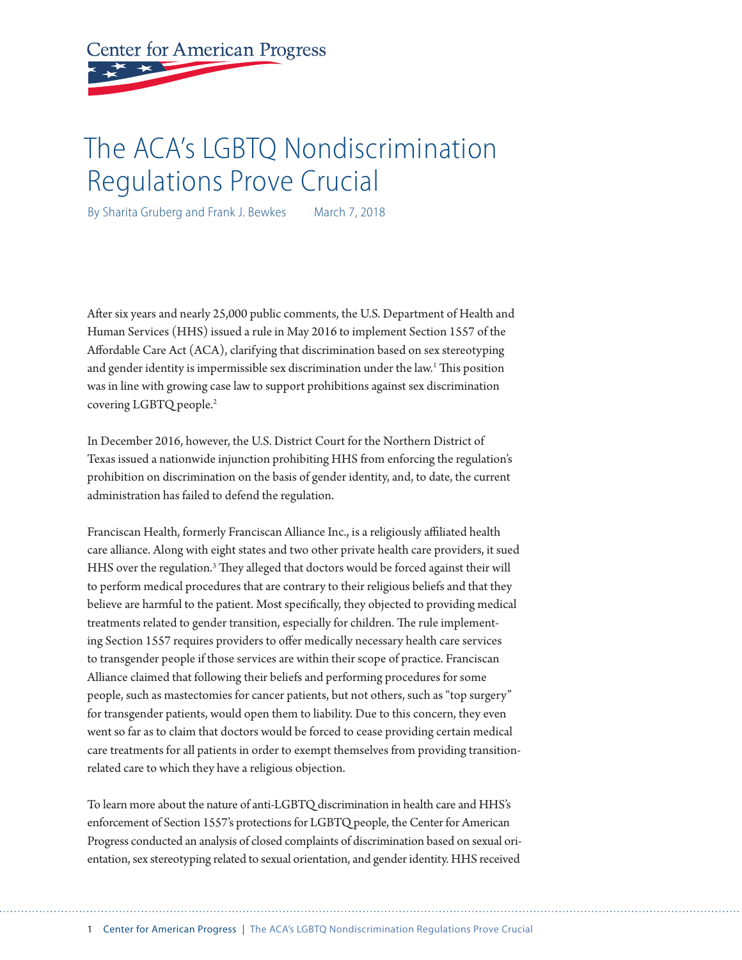# **Center for American Progress**

# The ACA's LGBTQ Nondiscrimination Regulations Prove Crucial

By Sharita Gruberg and Frank J. Bewkes March 7, 2018

Afer six years and nearly 25,000 public comments, the U.S. Department of Health and Human Services (HHS) issued a rule in May 2016 to implement Section 1557 of the Afordable Care Act (ACA), clarifying that discrimination based on sex stereotyping and gender identity is impermissible sex discrimination under the law.<sup>1</sup> This position was in line with growing case law to support prohibitions against sex discrimination covering LGBTQ people.2

In December 2016, however, the U.S. District Court for the Northern District of Texas issued a nationwide injunction prohibiting HHS from enforcing the regulation's prohibition on discrimination on the basis of gender identity, and, to date, the current administration has failed to defend the regulation.

Franciscan Health, formerly Franciscan Alliance Inc., is a religiously affiliated health care alliance. Along with eight states and two other private health care providers, it sued HHS over the regulation.<sup>3</sup> They alleged that doctors would be forced against their will to perform medical procedures that are contrary to their religious beliefs and that they believe are harmful to the patient. Most specifcally, they objected to providing medical treatments related to gender transition, especially for children. The rule implementing Section 1557 requires providers to ofer medically necessary health care services to transgender people if those services are within their scope of practice. Franciscan Alliance claimed that following their beliefs and performing procedures for some people, such as mastectomies for cancer patients, but not others, such as "top surgery" for transgender patients, would open them to liability. Due to this concern, they even went so far as to claim that doctors would be forced to cease providing certain medical care treatments for all patients in order to exempt themselves from providing transitionrelated care to which they have a religious objection.

To learn more about the nature of anti-LGBTQ discrimination in health care and HHS's enforcement of Section 1557's protections for LGBTQ people, the Center for American Progress conducted an analysis of closed complaints of discrimination based on sexual orientation, sex stereotyping related to sexual orientation, and gender identity. HHS received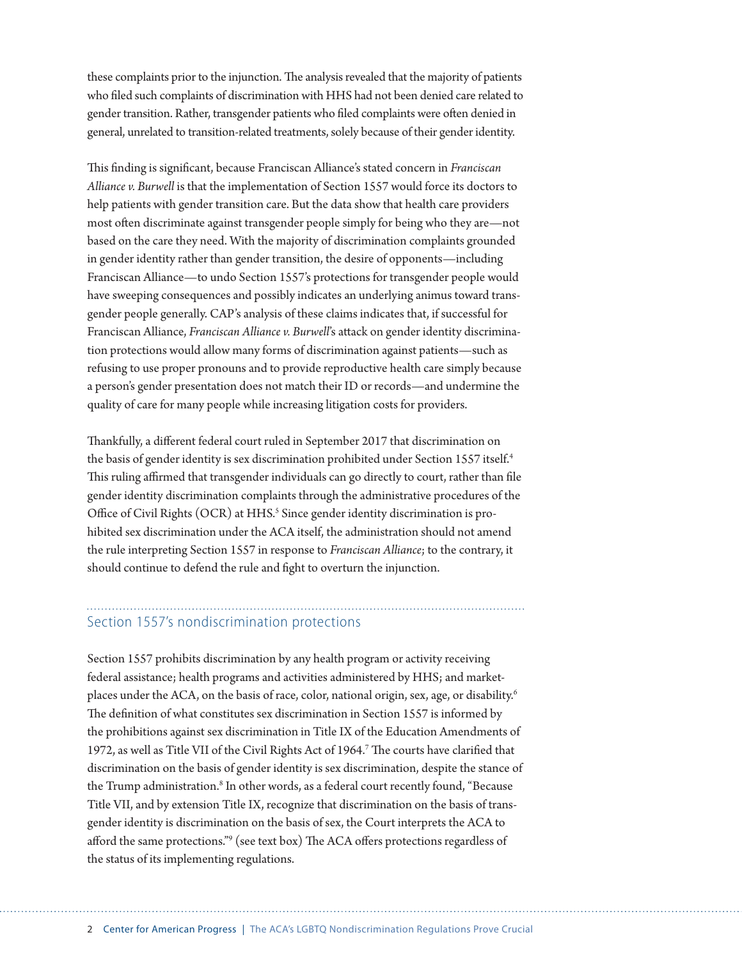these complaints prior to the injunction. The analysis revealed that the majority of patients who fled such complaints of discrimination with HHS had not been denied care related to gender transition. Rather, transgender patients who fled complaints were ofen denied in general, unrelated to transition-related treatments, solely because of their gender identity.

Tis fnding is signifcant, because Franciscan Alliance's stated concern in *Franciscan Alliance v. Burwell* is that the implementation of Section 1557 would force its doctors to help patients with gender transition care. But the data show that health care providers most often discriminate against transgender people simply for being who they are—not based on the care they need. With the majority of discrimination complaints grounded in gender identity rather than gender transition, the desire of opponents—including Franciscan Alliance—to undo Section 1557's protections for transgender people would have sweeping consequences and possibly indicates an underlying animus toward transgender people generally. CAP's analysis of these claims indicates that, if successful for Franciscan Alliance, *Franciscan Alliance v. Burwell*'s atack on gender identity discrimination protections would allow many forms of discrimination against patients—such as refusing to use proper pronouns and to provide reproductive health care simply because a person's gender presentation does not match their ID or records—and undermine the quality of care for many people while increasing litigation costs for providers.

Tankfully, a diferent federal court ruled in September 2017 that discrimination on the basis of gender identity is sex discrimination prohibited under Section 1557 itself.<sup>4</sup> This ruling affirmed that transgender individuals can go directly to court, rather than file gender identity discrimination complaints through the administrative procedures of the Office of Civil Rights (OCR) at HHS.<sup>5</sup> Since gender identity discrimination is prohibited sex discrimination under the ACA itself, the administration should not amend the rule interpreting Section 1557 in response to *Franciscan Alliance*; to the contrary, it should continue to defend the rule and fght to overturn the injunction.

### Section 1557's nondiscrimination protections

Section 1557 prohibits discrimination by any health program or activity receiving federal assistance; health programs and activities administered by HHS; and marketplaces under the ACA, on the basis of race, color, national origin, sex, age, or disability.<sup>6</sup> The definition of what constitutes sex discrimination in Section 1557 is informed by the prohibitions against sex discrimination in Title IX of the Education Amendments of 1972, as well as Title VII of the Civil Rights Act of 1964.<sup>7</sup> The courts have clarified that discrimination on the basis of gender identity is sex discrimination, despite the stance of the Trump administration.<sup>8</sup> In other words, as a federal court recently found, "Because Title VII, and by extension Title IX, recognize that discrimination on the basis of transgender identity is discrimination on the basis of sex, the Court interprets the ACA to afford the same protections."<sup>9</sup> (see text box) The ACA offers protections regardless of the status of its implementing regulations.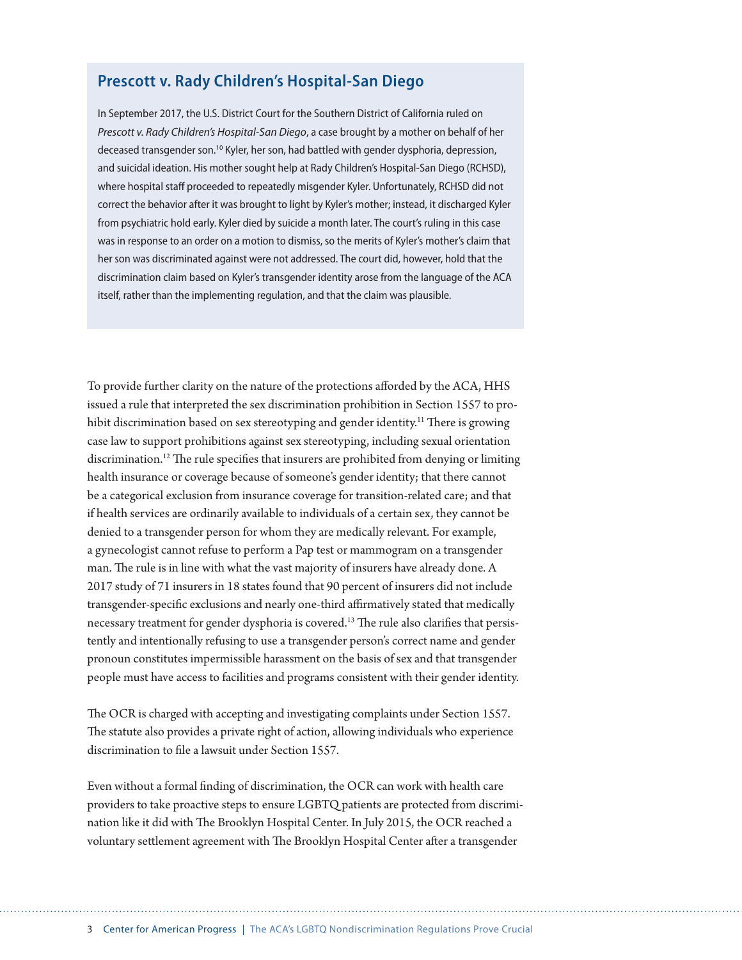## **Prescott v. Rady Children's Hospital-San Diego**

In September 2017, the U.S. District Court for the Southern District of California ruled on *Prescott v. Rady Children's Hospital-San Diego*, a case brought by a mother on behalf of her deceased transgender son.<sup>10</sup> Kyler, her son, had battled with gender dysphoria, depression, and suicidal ideation. His mother sought help at Rady Children's Hospital-San Diego (RCHSD), where hospital staff proceeded to repeatedly misgender Kyler. Unfortunately, RCHSD did not correct the behavior after it was brought to light by Kyler's mother; instead, it discharged Kyler from psychiatric hold early. Kyler died by suicide a month later. The court's ruling in this case was in response to an order on a motion to dismiss, so the merits of Kyler's mother's claim that her son was discriminated against were not addressed. The court did, however, hold that the discrimination claim based on Kyler's transgender identity arose from the language of the ACA itself, rather than the implementing regulation, and that the claim was plausible.

To provide further clarity on the nature of the protections aforded by the ACA, HHS issued a rule that interpreted the sex discrimination prohibition in Section 1557 to prohibit discrimination based on sex stereotyping and gender identity.<sup>11</sup> There is growing case law to support prohibitions against sex stereotyping, including sexual orientation discrimination.<sup>12</sup> The rule specifies that insurers are prohibited from denying or limiting health insurance or coverage because of someone's gender identity; that there cannot be a categorical exclusion from insurance coverage for transition-related care; and that if health services are ordinarily available to individuals of a certain sex, they cannot be denied to a transgender person for whom they are medically relevant. For example, a gynecologist cannot refuse to perform a Pap test or mammogram on a transgender man. The rule is in line with what the vast majority of insurers have already done. A 2017 study of 71 insurers in 18 states found that 90 percent of insurers did not include transgender-specifc exclusions and nearly one-third afrmatively stated that medically necessary treatment for gender dysphoria is covered.<sup>13</sup> The rule also clarifies that persistently and intentionally refusing to use a transgender person's correct name and gender pronoun constitutes impermissible harassment on the basis of sex and that transgender people must have access to facilities and programs consistent with their gender identity.

The OCR is charged with accepting and investigating complaints under Section 1557. The statute also provides a private right of action, allowing individuals who experience discrimination to fle a lawsuit under Section 1557.

Even without a formal fnding of discrimination, the OCR can work with health care providers to take proactive steps to ensure LGBTQ patients are protected from discrimination like it did with The Brooklyn Hospital Center. In July 2015, the OCR reached a voluntary settlement agreement with The Brooklyn Hospital Center after a transgender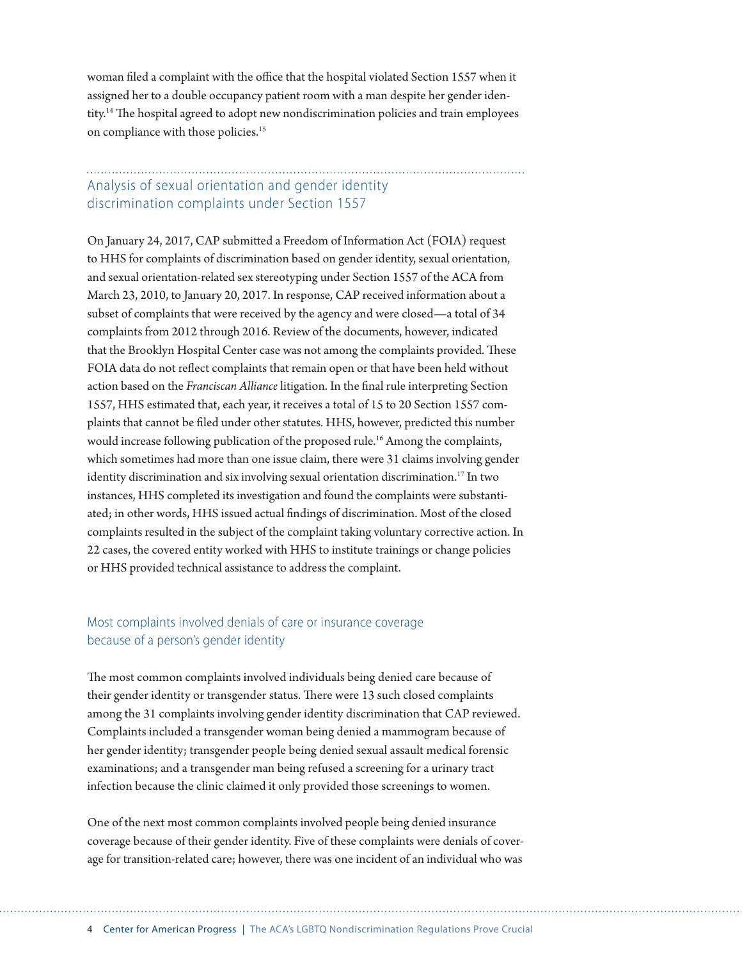woman filed a complaint with the office that the hospital violated Section 1557 when it assigned her to a double occupancy patient room with a man despite her gender identity.<sup>14</sup> The hospital agreed to adopt new nondiscrimination policies and train employees on compliance with those policies.<sup>15</sup>

# Analysis of sexual orientation and gender identity discrimination complaints under Section 1557

On January 24, 2017, CAP submited a Freedom of Information Act (FOIA) request to HHS for complaints of discrimination based on gender identity, sexual orientation, and sexual orientation-related sex stereotyping under Section 1557 of the ACA from March 23, 2010, to January 20, 2017. In response, CAP received information about a subset of complaints that were received by the agency and were closed—a total of 34 complaints from 2012 through 2016. Review of the documents, however, indicated that the Brooklyn Hospital Center case was not among the complaints provided. These FOIA data do not refect complaints that remain open or that have been held without action based on the *Franciscan Alliance* litigation. In the fnal rule interpreting Section 1557, HHS estimated that, each year, it receives a total of 15 to 20 Section 1557 complaints that cannot be fled under other statutes. HHS, however, predicted this number would increase following publication of the proposed rule.<sup>16</sup> Among the complaints, which sometimes had more than one issue claim, there were 31 claims involving gender identity discrimination and six involving sexual orientation discrimination.17 In two instances, HHS completed its investigation and found the complaints were substantiated; in other words, HHS issued actual fndings of discrimination. Most of the closed complaints resulted in the subject of the complaint taking voluntary corrective action. In 22 cases, the covered entity worked with HHS to institute trainings or change policies or HHS provided technical assistance to address the complaint.

### Most complaints involved denials of care or insurance coverage because of a person's gender identity

The most common complaints involved individuals being denied care because of their gender identity or transgender status. There were 13 such closed complaints among the 31 complaints involving gender identity discrimination that CAP reviewed. Complaints included a transgender woman being denied a mammogram because of her gender identity; transgender people being denied sexual assault medical forensic examinations; and a transgender man being refused a screening for a urinary tract infection because the clinic claimed it only provided those screenings to women.

One of the next most common complaints involved people being denied insurance coverage because of their gender identity. Five of these complaints were denials of coverage for transition-related care; however, there was one incident of an individual who was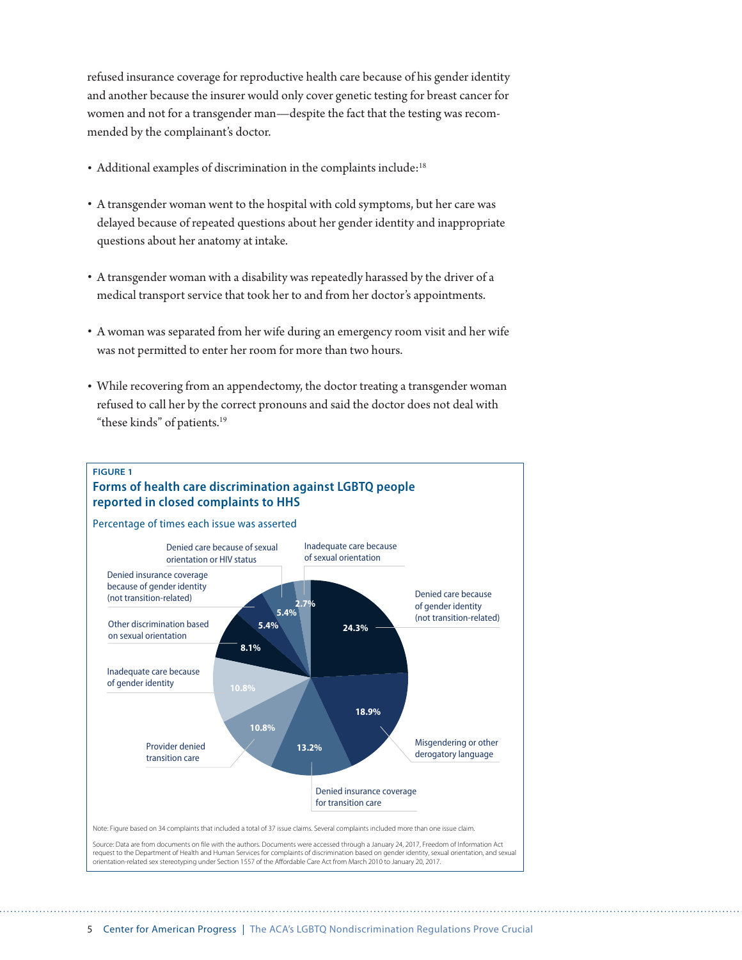refused insurance coverage for reproductive health care because of his gender identity and another because the insurer would only cover genetic testing for breast cancer for women and not for a transgender man—despite the fact that the testing was recommended by the complainant's doctor.

- Additional examples of discrimination in the complaints include:<sup>18</sup>
- A transgender woman went to the hospital with cold symptoms, but her care was delayed because of repeated questions about her gender identity and inappropriate questions about her anatomy at intake.
- A transgender woman with a disability was repeatedly harassed by the driver of a medical transport service that took her to and from her doctor's appointments.
- A woman was separated from her wife during an emergency room visit and her wife was not permited to enter her room for more than two hours.
- While recovering from an appendectomy, the doctor treating a transgender woman refused to call her by the correct pronouns and said the doctor does not deal with "these kinds" of patients.<sup>19</sup>

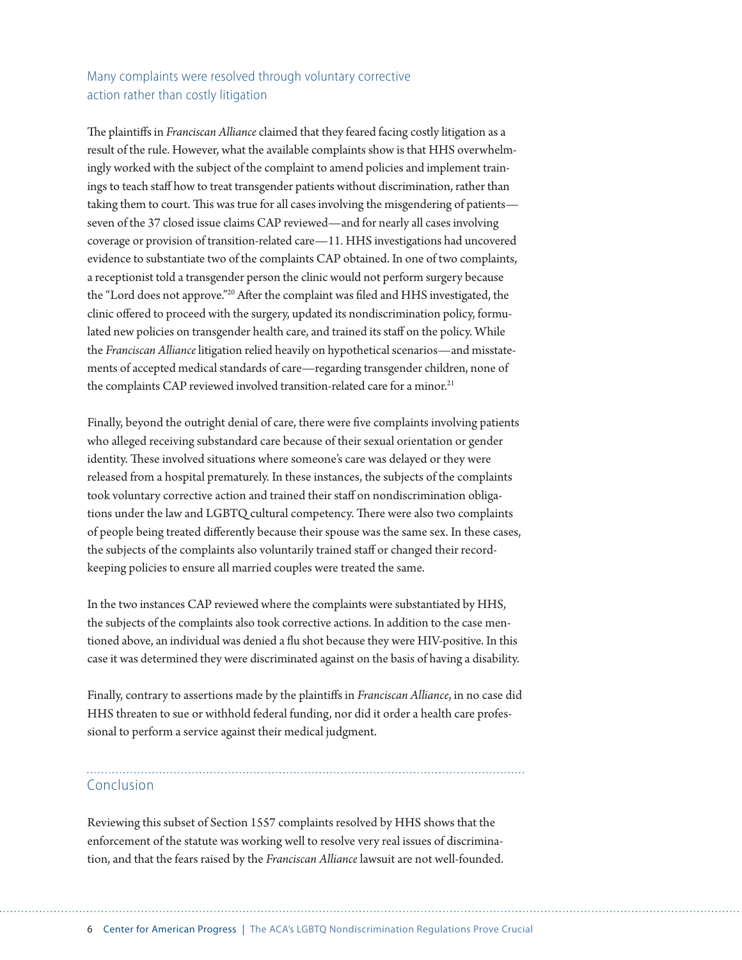### Many complaints were resolved through voluntary corrective action rather than costly litigation

The plaintiffs in *Franciscan Alliance* claimed that they feared facing costly litigation as a result of the rule. However, what the available complaints show is that HHS overwhelmingly worked with the subject of the complaint to amend policies and implement trainings to teach staff how to treat transgender patients without discrimination, rather than taking them to court. This was true for all cases involving the misgendering of patients seven of the 37 closed issue claims CAP reviewed—and for nearly all cases involving coverage or provision of transition-related care—11. HHS investigations had uncovered evidence to substantiate two of the complaints CAP obtained. In one of two complaints, a receptionist told a transgender person the clinic would not perform surgery because the "Lord does not approve."20 Afer the complaint was fled and HHS investigated, the clinic ofered to proceed with the surgery, updated its nondiscrimination policy, formulated new policies on transgender health care, and trained its staff on the policy. While the *Franciscan Alliance* litigation relied heavily on hypothetical scenarios—and misstatements of accepted medical standards of care—regarding transgender children, none of the complaints CAP reviewed involved transition-related care for a minor.<sup>21</sup>

Finally, beyond the outright denial of care, there were fve complaints involving patients who alleged receiving substandard care because of their sexual orientation or gender identity. These involved situations where someone's care was delayed or they were released from a hospital prematurely. In these instances, the subjects of the complaints took voluntary corrective action and trained their staf on nondiscrimination obligations under the law and LGBTQ cultural competency. There were also two complaints of people being treated diferently because their spouse was the same sex. In these cases, the subjects of the complaints also voluntarily trained staf or changed their recordkeeping policies to ensure all married couples were treated the same.

In the two instances CAP reviewed where the complaints were substantiated by HHS, the subjects of the complaints also took corrective actions. In addition to the case mentioned above, an individual was denied a fu shot because they were HIV-positive. In this case it was determined they were discriminated against on the basis of having a disability.

Finally, contrary to assertions made by the plaintifs in *Franciscan Alliance*, in no case did HHS threaten to sue or withhold federal funding, nor did it order a health care professional to perform a service against their medical judgment.

# Conclusion

Reviewing this subset of Section 1557 complaints resolved by HHS shows that the enforcement of the statute was working well to resolve very real issues of discrimination, and that the fears raised by the *Franciscan Alliance* lawsuit are not well-founded.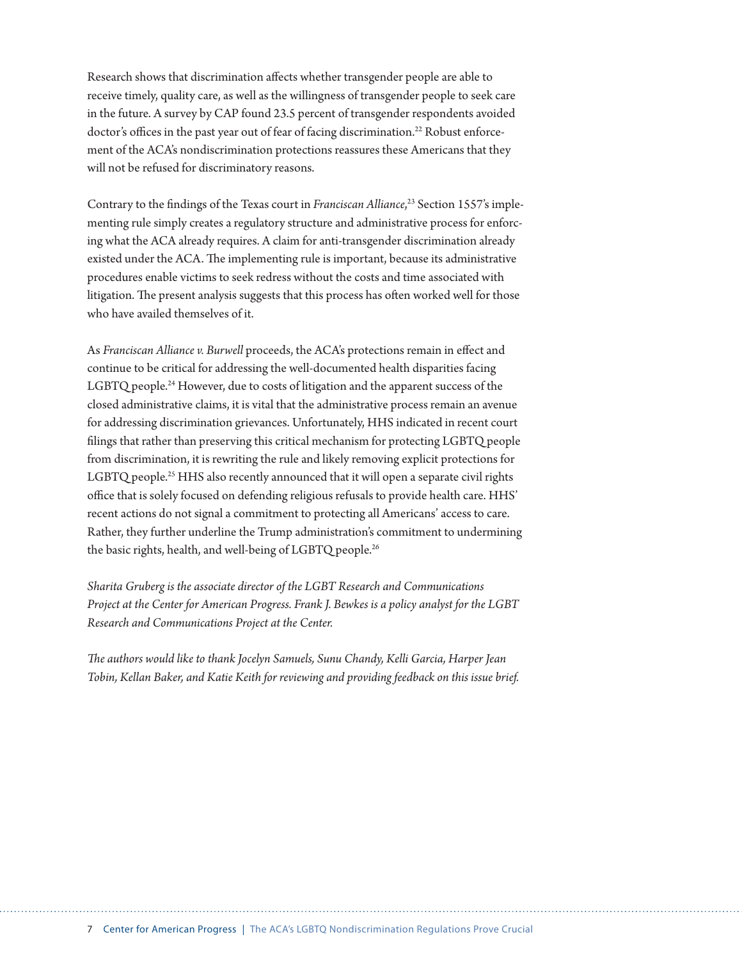Research shows that discrimination afects whether transgender people are able to receive timely, quality care, as well as the willingness of transgender people to seek care in the future. A survey by CAP found 23.5 percent of transgender respondents avoided doctor's offices in the past year out of fear of facing discrimination.<sup>22</sup> Robust enforcement of the ACA's nondiscrimination protections reassures these Americans that they will not be refused for discriminatory reasons.

Contrary to the fndings of the Texas court in *Franciscan Alliance*, 23 Section 1557's implementing rule simply creates a regulatory structure and administrative process for enforcing what the ACA already requires. A claim for anti-transgender discrimination already existed under the ACA. The implementing rule is important, because its administrative procedures enable victims to seek redress without the costs and time associated with litigation. The present analysis suggests that this process has often worked well for those who have availed themselves of it.

As *Franciscan Alliance v. Burwell* proceeds, the ACA's protections remain in efect and continue to be critical for addressing the well-documented health disparities facing LGBTQ people.24 However, due to costs of litigation and the apparent success of the closed administrative claims, it is vital that the administrative process remain an avenue for addressing discrimination grievances. Unfortunately, HHS indicated in recent court flings that rather than preserving this critical mechanism for protecting LGBTQ people from discrimination, it is rewriting the rule and likely removing explicit protections for LGBTQ people.<sup>25</sup> HHS also recently announced that it will open a separate civil rights office that is solely focused on defending religious refusals to provide health care. HHS' recent actions do not signal a commitment to protecting all Americans' access to care. Rather, they further underline the Trump administration's commitment to undermining the basic rights, health, and well-being of LGBTQ people.<sup>26</sup>

*Sharita Gruberg is the associate director of the LGBT Research and Communications Project at the Center for American Progress. Frank J. Bewkes is a policy analyst for the LGBT Research and Communications Project at the Center.*

*Te authors would like to thank Jocelyn Samuels, Sunu Chandy, Kelli Garcia, Harper Jean Tobin, Kellan Baker, and Katie Keith for reviewing and providing feedback on this issue brief.*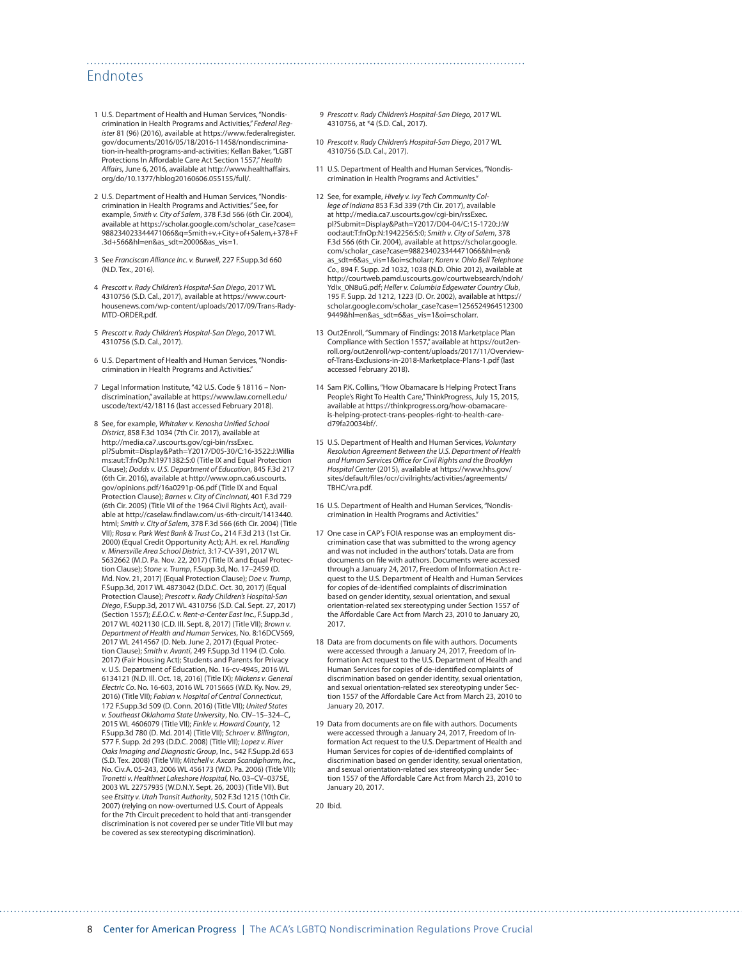#### Endnotes

- 1 U.S. Department of Health and Human Services, "Nondiscrimination in Health Programs and Activities," *Federal Register* 81 (96) (2016), available at [https://www.federalregister.](https://www.federalregister.gov/documents/2016/05/18/2016-11458/nondiscrimination-in-health-programs-and-activities) [gov/documents/2016/05/18/2016-11458/nondiscrimina](https://www.federalregister.gov/documents/2016/05/18/2016-11458/nondiscrimination-in-health-programs-and-activities)[tion-in-health-programs-and-activities;](https://www.federalregister.gov/documents/2016/05/18/2016-11458/nondiscrimination-in-health-programs-and-activities) Kellan Baker, "LGBT Protections In Afordable Care Act Section 1557," *Health A*f*airs*, June 6, 2016, available at [http://www.healtha](http://www.healthaffairs.org/do/10.1377/hblog20160606.055155/full/)fairs. [org/do/10.1377/hblog20160606.055155/full/.](http://www.healthaffairs.org/do/10.1377/hblog20160606.055155/full/)
- 2 U.S. Department of Health and Human Services, "Nondiscrimination in Health Programs and Activities." See, for example, *Smith v. City of Salem*, 378 F.3d 566 (6th Cir. 2004), available at https://scholar.google.com/scholar\_case?case [988234023344471066&q=Smith+v.+City+of+Salem,+378+F](https://scholar.google.com/scholar_case?case=988234023344471066&q=Smith+v.+City+of+Salem,+378+F.3d+566&hl=en&as_sdt=20006&as_vis=1) [.3d+566&hl=en&as\\_sdt=20006&as\\_vis=1](https://scholar.google.com/scholar_case?case=988234023344471066&q=Smith+v.+City+of+Salem,+378+F.3d+566&hl=en&as_sdt=20006&as_vis=1).
- 3 See *Franciscan Alliance Inc. v. Burwell*, 227 F.Supp.3d 660 (N.D. Tex., 2016).
- 4 *Prescott v. Rady Children's Hospital-San Diego*, 2017 WL 4310756 (S.D. Cal., 2017), available at [https://www.court](https://www.courthousenews.com/wp-content/uploads/2017/09/Trans-Rady-MTD-ORDER.pdf)[housenews.com/wp-content/uploads/2017/09/Trans-Rady-](https://www.courthousenews.com/wp-content/uploads/2017/09/Trans-Rady-MTD-ORDER.pdf)[MTD-ORDER.pdf](https://www.courthousenews.com/wp-content/uploads/2017/09/Trans-Rady-MTD-ORDER.pdf).
- 5 *Prescott v. Rady Children's Hospital-San Diego*, 2017 WL 4310756 (S.D. Cal., 2017).
- 6 U.S. Department of Health and Human Services, "Nondiscrimination in Health Programs and Activities."
- 7 Legal Information Institute, "42 U.S. Code § 18116 Nondiscrimination," available at [https://www.law.cornell.edu/](https://www.law.cornell.edu/uscode/text/42/18116) [uscode/text/42/18116](https://www.law.cornell.edu/uscode/text/42/18116) (last accessed February 2018).
- 8 See, for example, *Whitaker v. Kenosha Uni*f*ed School District*, 858 F.3d 1034 (7th Cir. 2017), available at [http://media.ca7.uscourts.gov/cgi-bin/rssExec.](http://media.ca7.uscourts.gov/cgi-bin/rssExec.pl?Submit=Display&Path=Y2017/D05-30/C:16-3522:J:Williams:aut:T:fnOp:N:1971382:S:0) [pl?Submit=Display&Path=Y2017/D05-30/C:16-3522:J:Willia](http://media.ca7.uscourts.gov/cgi-bin/rssExec.pl?Submit=Display&Path=Y2017/D05-30/C:16-3522:J:Williams:aut:T:fnOp:N:1971382:S:0) [ms:aut:T:fnOp:N:1971382:S:0](http://media.ca7.uscourts.gov/cgi-bin/rssExec.pl?Submit=Display&Path=Y2017/D05-30/C:16-3522:J:Williams:aut:T:fnOp:N:1971382:S:0) (Title IX and Equal Protection Clause); *Dodds v. U.S. Department of Education*, 845 F.3d 217 (6th Cir. 2016), available at http://www.opn.ca6.uscourts. gov/opinions.pdf/16a0291p-06.pdf (Title IX and Equal Protection Clause); *Barnes v. City of Cincinnati*, 401 F.3d 729 (6th Cir. 2005) (Title VII of the 1964 Civil Rights Act), available at http://caselaw.fndlaw.com/us-6th-circuit/1413440. html; *Smith v. City of Salem*, 378 F.3d 566 (6th Cir. 2004) (Title VII); *Rosa v. Park West Bank & Trust Co*., 214 F.3d 213 (1st Cir. 2000) (Equal Credit Opportunity Act); A.H. ex rel. *Handling v. Minersville Area School District*, 3:17-CV-391, 2017 WL 5632662 (M.D. Pa. Nov. 22, 2017) (Title IX and Equal Protection Clause); *Stone v. Trump*, F.Supp.3d, No. 17–2459 (D. Md. Nov. 21, 2017) (Equal Protection Clause); *Doe v. Trump*, F.Supp.3d, 2017 WL 4873042 (D.D.C. Oct. 30, 2017) (Equal Protection Clause); *Prescott v. Rady Children's Hospital-San Diego*, F.Supp.3d, 2017 WL 4310756 (S.D. Cal. Sept. 27, 2017) (Section 1557); *E.E.O.C. v. Rent-a-Center East Inc*., F.Supp.3d , 2017 WL 4021130 (C.D. Ill. Sept. 8, 2017) (Title VII); *Brown v. Department of Health and Human Services*, No. 8:16DCV569, 2017 WL 2414567 (D. Neb. June 2, 2017) (Equal Protection Clause); *Smith v. Avanti*, 249 F.Supp.3d 1194 (D. Colo. 2017) (Fair Housing Act); Students and Parents for Privacy v. U.S. Department of Education, No. 16-cv-4945, 2016 WL 6134121 (N.D. Ill. Oct. 18, 2016) (Title IX); *Mickens v. General Electric Co*. No. 16-603, 2016 WL 7015665 (W.D. Ky. Nov. 29, 2016) (Title VII); *Fabian v. Hospital of Central Connecticut*, 172 F.Supp.3d 509 (D. Conn. 2016) (Title VII); *United States v. Southeast Oklahoma State University*, No. CIV–15–324–C, 2015 WL 4606079 (Title VII); *Finkle v. Howard County*, 12 F.Supp.3d 780 (D. Md. 2014) (Title VII); *Schroer v. Billington*, 577 F. Supp. 2d 293 (D.D.C. 2008) (Title VII); *Lopez v. River Oaks Imaging and Diagnostic Group*, Inc., 542 F.Supp.2d 653 (S.D. Tex. 2008) (Title VII); *Mitchell v. Axcan Scandipharm, Inc*., No. Civ.A. 05-243, 2006 WL 456173 (W.D. Pa. 2006) (Title VII); *Tronetti v. Healthnet Lakeshore Hospital*, No. 03–CV–0375E, 2003 WL 22757935 (W.D.N.Y. Sept. 26, 2003) (Title VII). But see *Etsitty v. Utah Transit Authority*, 502 F.3d 1215 (10th Cir. 2007) (relying on now-overturned U.S. Court of Appeals for the 7th Circuit precedent to hold that anti-transgender discrimination is not covered per se under Title VII but may be covered as sex stereotyping discrimination).

9 *Prescott v. Rady Children's Hospital-San Diego,* 2017 WL 4310756, at \*4 (S.D. Cal., 2017).

- 10 *Prescott v. Rady Children's Hospital-San Diego*, 2017 WL 4310756 (S.D. Cal., 2017).
- 11 U.S. Department of Health and Human Services, "Nondiscrimination in Health Programs and Activities."
- 12 See, for example, *Hively v. Ivy Tech Community College of Indiana* 853 F.3d 339 (7th Cir. 2017), available at [http://media.ca7.uscourts.gov/cgi-bin/rssExec.](http://media.ca7.uscourts.gov/cgi-bin/rssExec.pl?Submit=Display&Path=Y2017/D04-04/C:15-1720:J:Wood:aut:T:fnOp:N:1942256:S:0) [pl?Submit=Display&Path=Y2017/D04-04/C:15-1720:J:W](http://media.ca7.uscourts.gov/cgi-bin/rssExec.pl?Submit=Display&Path=Y2017/D04-04/C:15-1720:J:Wood:aut:T:fnOp:N:1942256:S:0) [ood:aut:T:fnOp:N:1942256:S:0](http://media.ca7.uscourts.gov/cgi-bin/rssExec.pl?Submit=Display&Path=Y2017/D04-04/C:15-1720:J:Wood:aut:T:fnOp:N:1942256:S:0); *Smith v. City of Salem*, 378 F.3d 566 (6th Cir. 2004), available at [https://scholar.google.](https://scholar.google.com/scholar_case?case=988234023344471066&hl=en&as_sdt=6&as_vis=1&oi=scholarr) [com/scholar\\_case?case=988234023344471066&hl=en&](https://scholar.google.com/scholar_case?case=988234023344471066&hl=en&as_sdt=6&as_vis=1&oi=scholarr) [as\\_sdt=6&as\\_vis=1&oi=scholarr;](https://scholar.google.com/scholar_case?case=988234023344471066&hl=en&as_sdt=6&as_vis=1&oi=scholarr) *Koren v. Ohio Bell Telephone Co.*, 894 F. Supp. 2d 1032, 1038 (N.D. Ohio 2012), available at [http://courtweb.pamd.uscourts.gov/courtwebsearch/ndoh/](http://courtweb.pamd.uscourts.gov/courtwebsearch/ndoh/YdIx_0N8uG.pdf) [YdIx\\_0N8uG.pdf](http://courtweb.pamd.uscourts.gov/courtwebsearch/ndoh/YdIx_0N8uG.pdf); *Heller v. Columbia Edgewater Country Club*, 195 F. Supp. 2d 1212, 1223 (D. Or. 2002), available at [https://](https://scholar.google.com/scholar_case?case=12565249645123009449&hl=en&as_sdt=6&as_vis=1&oi=scholarr) [scholar.google.com/scholar\\_case?case=1256524964512300](https://scholar.google.com/scholar_case?case=12565249645123009449&hl=en&as_sdt=6&as_vis=1&oi=scholarr) [9449&hl=en&as\\_sdt=6&as\\_vis=1&oi=scholarr](https://scholar.google.com/scholar_case?case=12565249645123009449&hl=en&as_sdt=6&as_vis=1&oi=scholarr).
- 13 Out2Enroll, "Summary of Findings: 2018 Marketplace Plan Compliance with Section 1557," available at [https://out2en](https://out2enroll.org/out2enroll/wp-content/uploads/2017/11/Overview-of-Trans-Exclusions-in-2018-Marketplace-Plans-1.pdf)[roll.org/out2enroll/wp-content/uploads/2017/11/Overview](https://out2enroll.org/out2enroll/wp-content/uploads/2017/11/Overview-of-Trans-Exclusions-in-2018-Marketplace-Plans-1.pdf)[of-Trans-Exclusions-in-2018-Marketplace-Plans-1.pdf](https://out2enroll.org/out2enroll/wp-content/uploads/2017/11/Overview-of-Trans-Exclusions-in-2018-Marketplace-Plans-1.pdf) (last accessed February 2018).
- 14 Sam P.K. Collins, "How Obamacare Is Helping Protect Trans People's Right To Health Care," ThinkProgress, July 15, 2015, available at [https://thinkprogress.org/how-obamacare](https://thinkprogress.org/how-obamacare-is-helping-protect-trans-peoples-right-to-health-care-d79fa20034bf/)[is-helping-protect-trans-peoples-right-to-health-care](https://thinkprogress.org/how-obamacare-is-helping-protect-trans-peoples-right-to-health-care-d79fa20034bf/)[d79fa20034bf/](https://thinkprogress.org/how-obamacare-is-helping-protect-trans-peoples-right-to-health-care-d79fa20034bf/).
- 15 U.S. Department of Health and Human Services, *Voluntary Resolution Agreement Between the U.S. Department of Health and Human Services O*f*ce for Civil Rights and the Brooklyn Hospital Center* (2015), available at [https://www.hhs.gov/](https://www.hhs.gov/sites/default/files/ocr/civilrights/activities/agreements/TBHC/vra.pdf) sites/default/f[les/ocr/civilrights/activities/agreements/](https://www.hhs.gov/sites/default/files/ocr/civilrights/activities/agreements/TBHC/vra.pdf) [TBHC/vra.pdf.](https://www.hhs.gov/sites/default/files/ocr/civilrights/activities/agreements/TBHC/vra.pdf)
- 16 U.S. Department of Health and Human Services, "Nondiscrimination in Health Programs and Activities."
- 17 One case in CAP's FOIA response was an employment discrimination case that was submitted to the wrong agency and was not included in the authors' totals. Data are from documents on fle with authors. Documents were accessed through a January 24, 2017, Freedom of Information Act request to the U.S. Department of Health and Human Services for copies of de-identifed complaints of discrimination based on gender identity, sexual orientation, and sexual orientation-related sex stereotyping under Section 1557 of the Afordable Care Act from March 23, 2010 to January 20, 2017.
- 18 Data are from documents on fle with authors. Documents were accessed through a January 24, 2017, Freedom of Information Act request to the U.S. Department of Health and Human Services for copies of de-identifed complaints of discrimination based on gender identity, sexual orientation, and sexual orientation-related sex stereotyping under Section 1557 of the Afordable Care Act from March 23, 2010 to January 20, 2017.
- 19 Data from documents are on fle with authors. Documents were accessed through a January 24, 2017, Freedom of Information Act request to the U.S. Department of Health and Human Services for copies of de-identifed complaints of discrimination based on gender identity, sexual orientation, and sexual orientation-related sex stereotyping under Section 1557 of the Afordable Care Act from March 23, 2010 to January 20, 2017.

20 Ibid.